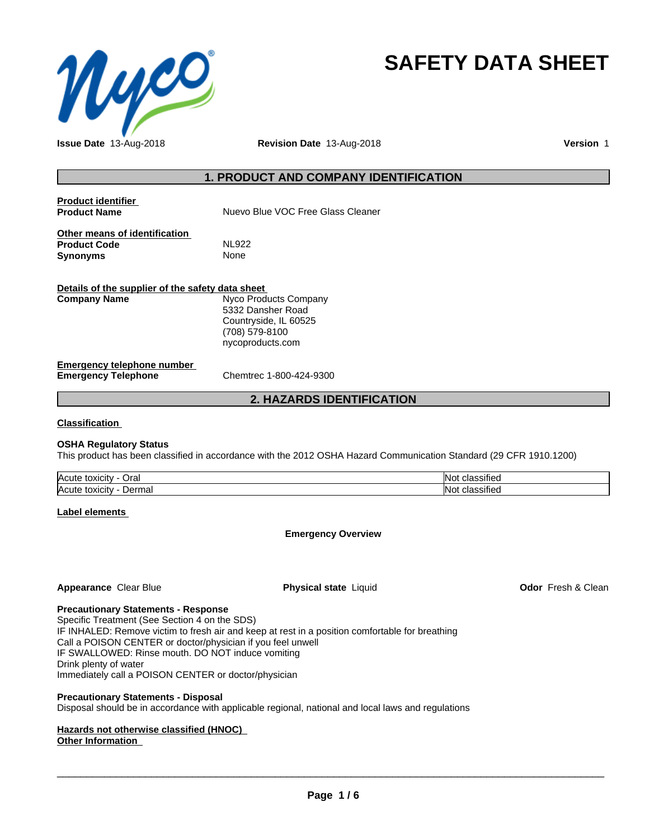

## **SAFETY DATA SHEET**

**Issue Date** 13-Aug-2018 **Revision Date** 13-Aug-2018 **Version** 1

#### **1. PRODUCT AND COMPANY IDENTIFICATION**

| <b>Product identifier</b><br><b>Product Name</b>                        | Nuevo Blue VOC Free Glass Cleaner                                                                         |
|-------------------------------------------------------------------------|-----------------------------------------------------------------------------------------------------------|
| Other means of identification<br><b>Product Code</b><br><b>Synonyms</b> | NI 922<br>None                                                                                            |
| Details of the supplier of the safety data sheet<br><b>Company Name</b> | Nyco Products Company<br>5332 Dansher Road<br>Countryside, IL 60525<br>(708) 579-8100<br>nycoproducts.com |

#### **Emergency telephone number Emergency Telephone** Chemtrec 1-800-424-9300

#### **2. HAZARDS IDENTIFICATION**

**Classification**

#### **OSHA Regulatory Status**

This product has been classified in accordance with the 2012 OSHA Hazard Communication Standard (29 CFR 1910.1200)

| <b>Acute</b><br>Orai<br>$+0.2101$<br><b>TOXICILY</b> | $\cdot$<br>IN.<br>ssitiec |
|------------------------------------------------------|---------------------------|
| <b>Acute</b><br>Derma<br>toxicity<br>⊓a              | $\cdot$<br>IN.<br>ssitiec |

**Label elements**

**Emergency Overview**

#### **Appearance** Clear Blue **Physical state** Liquid **Odor** Fresh & Clean

#### **Precautionary Statements - Response**

Specific Treatment (See Section 4 on the SDS) IF INHALED: Remove victim to fresh air and keep at rest in a position comfortable for breathing Call a POISON CENTER or doctor/physician if you feel unwell IF SWALLOWED: Rinse mouth. DO NOT induce vomiting Drink plenty of water Immediately call a POISON CENTER or doctor/physician

#### **Precautionary Statements - Disposal**

Disposal should be in accordance with applicable regional, national and local laws and regulations

#### **Hazards not otherwise classified (HNOC) Other Information**

 $\overline{\phantom{a}}$  ,  $\overline{\phantom{a}}$  ,  $\overline{\phantom{a}}$  ,  $\overline{\phantom{a}}$  ,  $\overline{\phantom{a}}$  ,  $\overline{\phantom{a}}$  ,  $\overline{\phantom{a}}$  ,  $\overline{\phantom{a}}$  ,  $\overline{\phantom{a}}$  ,  $\overline{\phantom{a}}$  ,  $\overline{\phantom{a}}$  ,  $\overline{\phantom{a}}$  ,  $\overline{\phantom{a}}$  ,  $\overline{\phantom{a}}$  ,  $\overline{\phantom{a}}$  ,  $\overline{\phantom{a}}$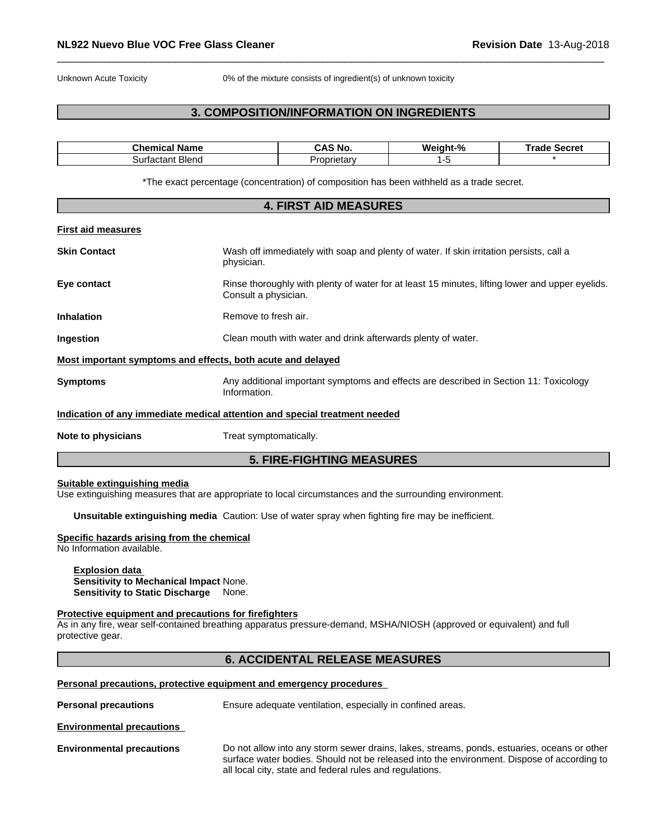Unknown Acute Toxicity 0% of the mixture consists of ingredient(s) of unknown toxicity

#### **3. COMPOSITION/INFORMATION ON INGREDIENTS**

| Name<br><b>The contract of the State State</b><br>ш.а | ۰N۵.<br>÷Д.         | Mс<br>iant.<br>-70 | .<br>---<br>е зестет<br>. . |
|-------------------------------------------------------|---------------------|--------------------|-----------------------------|
| <b>Blend</b><br>sur'<br>düldili<br>יש                 | .<br>ιetar<br>) FIA |                    |                             |

\*The exact percentage (concentration) of composition has been withheld as a trade secret.

|                                                             | <b>4. FIRST AID MEASURES</b>                                                                                            |  |
|-------------------------------------------------------------|-------------------------------------------------------------------------------------------------------------------------|--|
| <b>First aid measures</b>                                   |                                                                                                                         |  |
| <b>Skin Contact</b>                                         | Wash off immediately with soap and plenty of water. If skin irritation persists, call a<br>physician.                   |  |
| Eye contact                                                 | Rinse thoroughly with plenty of water for at least 15 minutes, lifting lower and upper eyelids.<br>Consult a physician. |  |
| <b>Inhalation</b>                                           | Remove to fresh air.                                                                                                    |  |
| Ingestion                                                   | Clean mouth with water and drink afterwards plenty of water.                                                            |  |
| Most important symptoms and effects, both acute and delayed |                                                                                                                         |  |
| <b>Symptoms</b>                                             | Any additional important symptoms and effects are described in Section 11: Toxicology<br>Information.                   |  |
|                                                             | Indication of any immediate medical attention and special treatment needed                                              |  |
| Note to physicians                                          | Treat symptomatically.                                                                                                  |  |
|                                                             | <b>5. FIRE-FIGHTING MEASURES</b>                                                                                        |  |

#### **Suitable extinguishing media**

Use extinguishing measures that are appropriate to local circumstances and the surrounding environment.

**Unsuitable extinguishing media** Caution: Use of water spray when fighting fire may be inefficient.

#### **Specific hazards arising from the chemical**

No Information available.

**Explosion data Sensitivity to Mechanical Impact** None. **Sensitivity to Static Discharge** None.

#### **Protective equipment and precautions for firefighters**

As in any fire, wear self-contained breathing apparatus pressure-demand, MSHA/NIOSH (approved or equivalent) and full protective gear.

#### **6. ACCIDENTAL RELEASE MEASURES**

#### **Personal precautions, protective equipment and emergency procedures**

**Personal precautions** Ensure adequate ventilation, especially in confined areas.

**Environmental precautions**

**Environmental precautions** Do not allow into any storm sewer drains, lakes, streams, ponds, estuaries, oceans or other surface water bodies. Should not be released into the environment. Dispose of according to all local city, state and federal rules and regulations.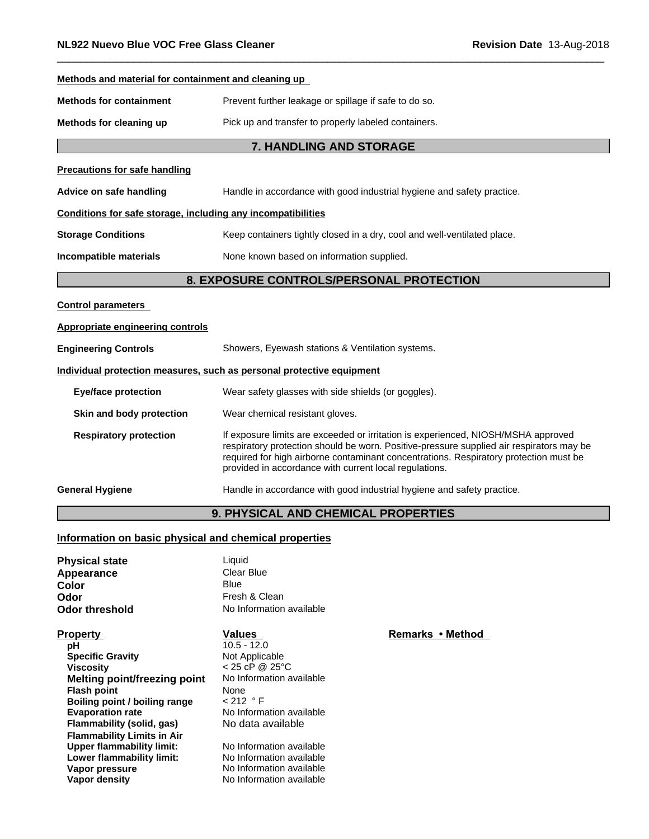| Methods and material for containment and cleaning up         |                                                                                                                                                                                                                                                                                                                                  |  |  |
|--------------------------------------------------------------|----------------------------------------------------------------------------------------------------------------------------------------------------------------------------------------------------------------------------------------------------------------------------------------------------------------------------------|--|--|
| <b>Methods for containment</b>                               | Prevent further leakage or spillage if safe to do so.                                                                                                                                                                                                                                                                            |  |  |
| Methods for cleaning up                                      | Pick up and transfer to properly labeled containers.                                                                                                                                                                                                                                                                             |  |  |
|                                                              | 7. HANDLING AND STORAGE                                                                                                                                                                                                                                                                                                          |  |  |
| <b>Precautions for safe handling</b>                         |                                                                                                                                                                                                                                                                                                                                  |  |  |
| Advice on safe handling                                      | Handle in accordance with good industrial hygiene and safety practice.                                                                                                                                                                                                                                                           |  |  |
| Conditions for safe storage, including any incompatibilities |                                                                                                                                                                                                                                                                                                                                  |  |  |
| <b>Storage Conditions</b>                                    | Keep containers tightly closed in a dry, cool and well-ventilated place.                                                                                                                                                                                                                                                         |  |  |
| Incompatible materials                                       | None known based on information supplied.                                                                                                                                                                                                                                                                                        |  |  |
| 8. EXPOSURE CONTROLS/PERSONAL PROTECTION                     |                                                                                                                                                                                                                                                                                                                                  |  |  |
| <b>Control parameters</b>                                    |                                                                                                                                                                                                                                                                                                                                  |  |  |
| <b>Appropriate engineering controls</b>                      |                                                                                                                                                                                                                                                                                                                                  |  |  |
| <b>Engineering Controls</b>                                  | Showers, Eyewash stations & Ventilation systems.                                                                                                                                                                                                                                                                                 |  |  |
|                                                              | Individual protection measures, such as personal protective equipment                                                                                                                                                                                                                                                            |  |  |
| <b>Eye/face protection</b>                                   | Wear safety glasses with side shields (or goggles).                                                                                                                                                                                                                                                                              |  |  |
| Skin and body protection                                     | Wear chemical resistant gloves.                                                                                                                                                                                                                                                                                                  |  |  |
| <b>Respiratory protection</b>                                | If exposure limits are exceeded or irritation is experienced, NIOSH/MSHA approved<br>respiratory protection should be worn. Positive-pressure supplied air respirators may be<br>required for high airborne contaminant concentrations. Respiratory protection must be<br>provided in accordance with current local regulations. |  |  |
| <b>General Hygiene</b>                                       | Handle in accordance with good industrial hygiene and safety practice.                                                                                                                                                                                                                                                           |  |  |
|                                                              | <b>9. PHYSICAL AND CHEMICAL PROPERTIES</b>                                                                                                                                                                                                                                                                                       |  |  |

#### **Information on basic physical and chemical properties**

| <b>Physical state</b> | Liquid                   |
|-----------------------|--------------------------|
| Appearance            | Clear Blue               |
| Color                 | Blue                     |
| Odor                  | Fresh & Clean            |
| Odor threshold        | No Information available |

| <b>Property</b>                   | Values                   | Remarks • Method |
|-----------------------------------|--------------------------|------------------|
| рH                                | $10.5 - 12.0$            |                  |
| <b>Specific Gravity</b>           | Not Applicable           |                  |
| <b>Viscosity</b>                  | $< 25$ cP @ 25°C         |                  |
| Melting point/freezing point      | No Information available |                  |
| <b>Flash point</b>                | <b>None</b>              |                  |
| Boiling point / boiling range     | $< 212$ ° F              |                  |
| <b>Evaporation rate</b>           | No Information available |                  |
| Flammability (solid, gas)         | No data available        |                  |
| <b>Flammability Limits in Air</b> |                          |                  |
| <b>Upper flammability limit:</b>  | No Information available |                  |
| Lower flammability limit:         | No Information available |                  |
| Vapor pressure                    | No Information available |                  |
| Vapor density                     | No Information available |                  |

# **Not Applicable**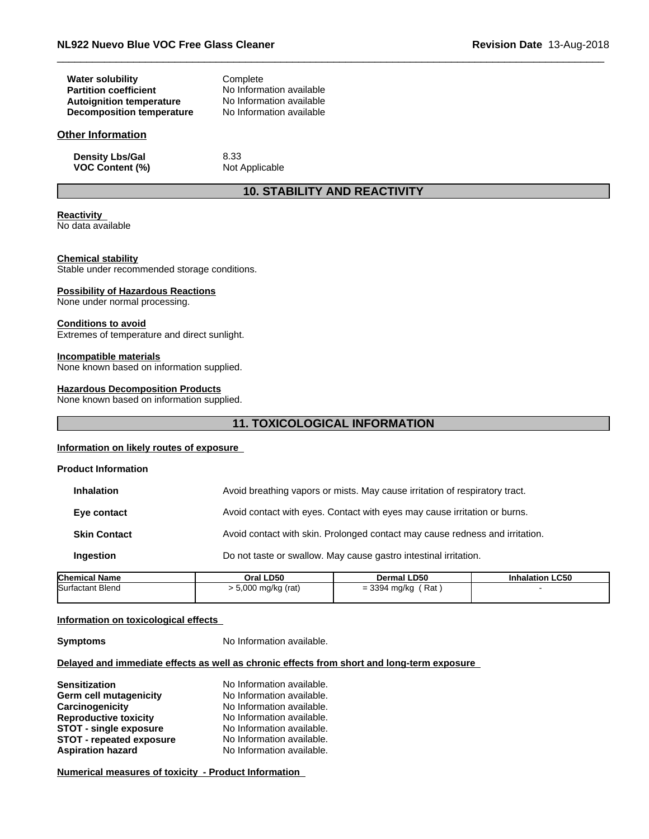| <b>Water solubility</b>          | Complete                 |
|----------------------------------|--------------------------|
| <b>Partition coefficient</b>     | No Information available |
| <b>Autoignition temperature</b>  | No Information available |
| <b>Decomposition temperature</b> | No Information available |

#### **Other Information**

**Density Lbs/Gal** 8.33 **VOC Content (%)** Not Applicable

#### **10. STABILITY AND REACTIVITY**

### **Reactivity**

No data available

#### **Chemical stability**

Stable under recommended storage conditions.

#### **Possibility of Hazardous Reactions**

None under normal processing.

#### **Conditions to avoid**

Extremes of temperature and direct sunlight.

#### **Incompatible materials**

None known based on information supplied.

#### **Hazardous Decomposition Products**

None known based on information supplied.

#### **11. TOXICOLOGICAL INFORMATION**

#### **Information on likely routes of exposure**

| <b>Product Information</b> |                                                                              |
|----------------------------|------------------------------------------------------------------------------|
| <b>Inhalation</b>          | Avoid breathing vapors or mists. May cause irritation of respiratory tract.  |
| Eye contact                | Avoid contact with eyes. Contact with eyes may cause irritation or burns.    |
| <b>Skin Contact</b>        | Avoid contact with skin. Prolonged contact may cause redness and irritation. |
| Ingestion                  | Do not taste or swallow. May cause gastro intestinal irritation.             |
|                            |                                                                              |

| <b>Chemical Name</b>    | Oral LD50         | Dermal LD50           | <b>Inhalation LC50</b> |  |
|-------------------------|-------------------|-----------------------|------------------------|--|
| <b>Surfactant Blend</b> | 5,000 mg/kg (rat) | ์ Rat<br>= 3394 mg/kg |                        |  |
|                         |                   |                       |                        |  |

#### **Information on toxicological effects**

**Symptoms** No Information available.

#### **Delayed and immediate effects as well as chronic effects from short and long-term exposure**

| <b>Sensitization</b>            | No Information available. |
|---------------------------------|---------------------------|
| Germ cell mutagenicity          | No Information available. |
| Carcinogenicity                 | No Information available. |
| <b>Reproductive toxicity</b>    | No Information available. |
| <b>STOT - single exposure</b>   | No Information available. |
| <b>STOT - repeated exposure</b> | No Information available. |
| <b>Aspiration hazard</b>        | No Information available. |

**Numerical measures of toxicity - Product Information**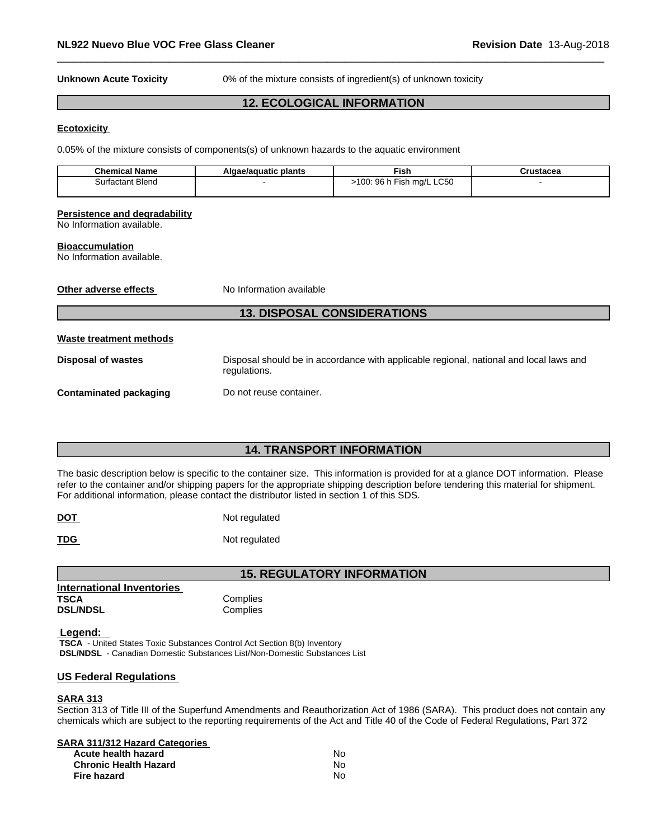**Unknown Acute Toxicity** 0% of the mixture consists of ingredient(s) of unknown toxicity

#### **12. ECOLOGICAL INFORMATION**

#### **Ecotoxicity**

0.05% of the mixture consists of components(s) of unknown hazards to the aquatic environment

| <b>Chemical Name</b> | ∍plants<br>ae/aquatic | $- -$<br>Fish.                                                                        | .<br>. 1131auca |
|----------------------|-----------------------|---------------------------------------------------------------------------------------|-----------------|
| actant Blend<br>ינור |                       | .C50<br>$- \cdot$<br>റഭ<br>$\Omega$<br>. ma/L<br>- 10 k<br><br>. J U<br>. .<br>$\sim$ |                 |
|                      |                       |                                                                                       |                 |

#### **Persistence and degradability**

No Information available.

#### **Bioaccumulation**

No Information available.

**Other adverse effects** No Information available

#### **13. DISPOSAL CONSIDERATIONS**

#### **Waste treatment methods**

**Disposal of wastes** Disposal should be in accordance with applicable regional, national and local laws and regulations.

**Contaminated packaging Do not reuse container.** 

#### **14. TRANSPORT INFORMATION**

The basic description below is specific to the container size. This information is provided for at a glance DOT information. Please refer to the container and/or shipping papers for the appropriate shipping description before tendering this material for shipment. For additional information, please contact the distributor listed in section 1 of this SDS.

| <b>DOT</b> | Not regulated |
|------------|---------------|
|            |               |

**TDG** Not regulated

**15. REGULATORY INFORMATION**

| <b>International Inventories</b> |          |
|----------------------------------|----------|
| TSCA                             | Complies |
| <b>DSL/NDSL</b>                  | Complies |
|                                  |          |

#### **Legend:**

 **TSCA** - United States Toxic Substances Control Act Section 8(b) Inventory  **DSL/NDSL** - Canadian Domestic Substances List/Non-Domestic Substances List

#### **US Federal Regulations**

#### **SARA 313**

Section 313 of Title III of the Superfund Amendments and Reauthorization Act of 1986 (SARA). This product does not contain any chemicals which are subject to the reporting requirements of the Act and Title 40 of the Code of Federal Regulations, Part 372

#### **SARA 311/312 Hazard Categories**

| Acute health hazard          | No  |
|------------------------------|-----|
| <b>Chronic Health Hazard</b> | No. |
| Fire hazard                  | No  |